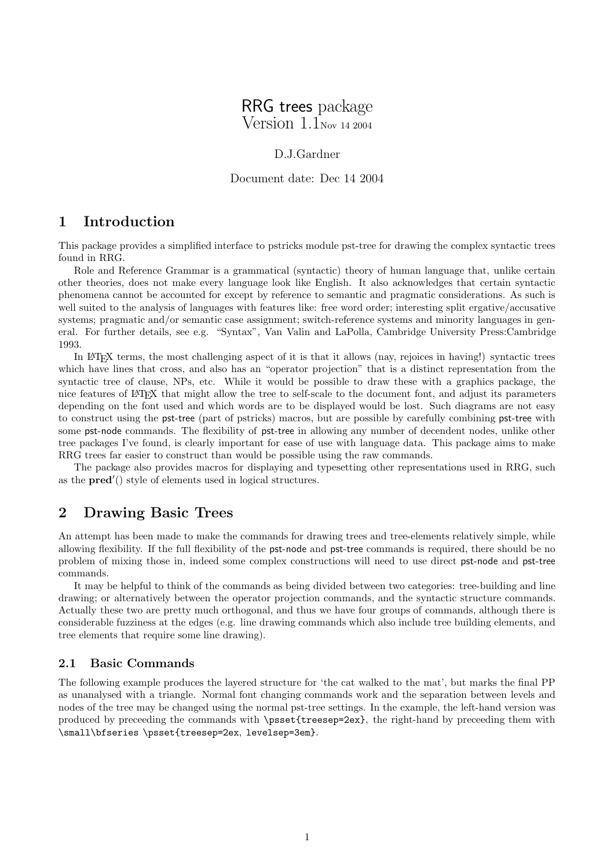# RRG trees package

Version 1.1Nov <sup>14</sup> <sup>2004</sup>

### D.J.Gardner

Document date: Dec 14 2004

### 1 Introduction

This package provides a simplified interface to pstricks module pst-tree for drawing the complex syntactic trees found in RRG.

Role and Reference Grammar is a grammatical (syntactic) theory of human language that, unlike certain other theories, does not make every language look like English. It also acknowledges that certain syntactic phenomena cannot be accounted for except by reference to semantic and pragmatic considerations. As such is well suited to the analysis of languages with features like: free word order; interesting split ergative/accusative systems; pragmatic and/or semantic case assignment; switch-reference systems and minority languages in general. For further details, see e.g. "Syntax", Van Valin and LaPolla, Cambridge University Press:Cambridge 1993.

In L<sup>A</sup>TEX terms, the most challenging aspect of it is that it allows (nay, rejoices in having!) syntactic trees which have lines that cross, and also has an "operator projection" that is a distinct representation from the syntactic tree of clause, NPs, etc. While it would be possible to draw these with a graphics package, the nice features of L<sup>A</sup>TEX that might allow the tree to self-scale to the document font, and adjust its parameters depending on the font used and which words are to be displayed would be lost. Such diagrams are not easy to construct using the pst-tree (part of pstricks) macros, but are possible by carefully combining pst-tree with some **pst-node** commands. The flexibility of **pst-tree** in allowing any number of decendent nodes, unlike other tree packages I've found, is clearly important for ease of use with language data. This package aims to make RRG trees far easier to construct than would be possible using the raw commands.

The package also provides macros for displaying and typesetting other representations used in RRG, such as the  $pred'()$  style of elements used in logical structures.

### 2 Drawing Basic Trees

An attempt has been made to make the commands for drawing trees and tree-elements relatively simple, while allowing flexibility. If the full flexibility of the pst-node and pst-tree commands is required, there should be no problem of mixing those in, indeed some complex constructions will need to use direct pst-node and pst-tree commands.

It may be helpful to think of the commands as being divided between two categories: tree-building and line drawing; or alternatively between the operator projection commands, and the syntactic structure commands. Actually these two are pretty much orthogonal, and thus we have four groups of commands, although there is considerable fuzziness at the edges (e.g. line drawing commands which also include tree building elements, and tree elements that require some line drawing).

#### 2.1 Basic Commands

The following example produces the layered structure for 'the cat walked to the mat', but marks the final PP as unanalysed with a triangle. Normal font changing commands work and the separation between levels and nodes of the tree may be changed using the normal pst-tree settings. In the example, the left-hand version was produced by preceeding the commands with \psset{treesep=2ex}, the right-hand by preceeding them with \small\bfseries \psset{treesep=2ex, levelsep=3em}.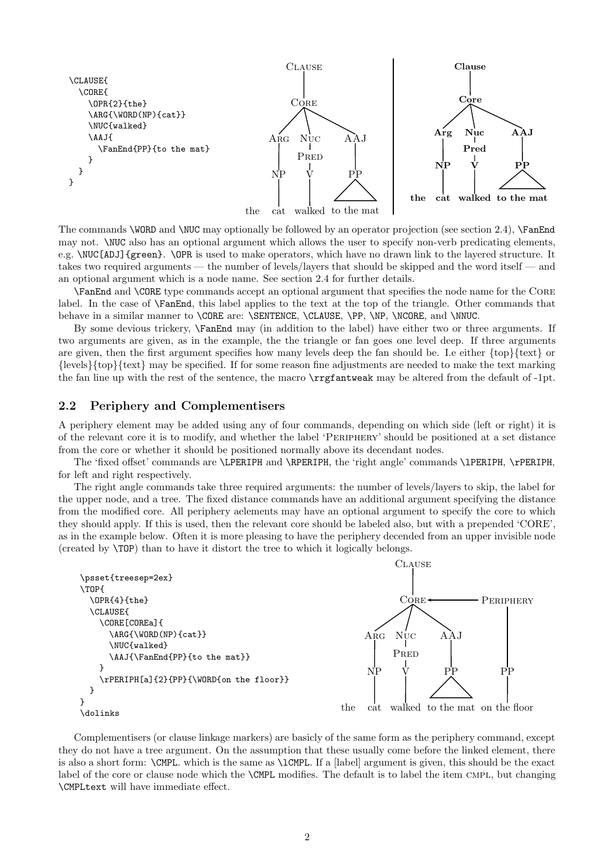

The commands \WORD and \NUC may optionally be followed by an operator projection (see section 2.4), \FanEnd may not. \NUC also has an optional argument which allows the user to specify non-verb predicating elements, e.g. \NUC[ADJ]{green}. \OPR is used to make operators, which have no drawn link to the layered structure. It takes two required arguments — the number of levels/layers that should be skipped and the word itself — and an optional argument which is a node name. See section 2.4 for further details.

\FanEnd and \CORE type commands accept an optional argument that specifies the node name for the Core label. In the case of \FanEnd, this label applies to the text at the top of the triangle. Other commands that behave in a similar manner to \CORE are: \SENTENCE, \CLAUSE, \PP, \NP, \NCORE, and \NNUC.

By some devious trickery, \FanEnd may (in addition to the label) have either two or three arguments. If two arguments are given, as in the example, the the triangle or fan goes one level deep. If three arguments are given, then the first argument specifies how many levels deep the fan should be. I.e either {top}{text} or {levels}{top}{text} may be specified. If for some reason fine adjustments are needed to make the text marking the fan line up with the rest of the sentence, the macro \rrgfantweak may be altered from the default of -1pt.

### 2.2 Periphery and Complementisers

A periphery element may be added using any of four commands, depending on which side (left or right) it is of the relevant core it is to modify, and whether the label 'Periphery' should be positioned at a set distance from the core or whether it should be positioned normally above its decendant nodes.

The 'fixed offset' commands are \LPERIPH and \RPERIPH, the 'right angle' commands \lPERIPH, \rPERIPH, for left and right respectively.

The right angle commands take three required arguments: the number of levels/layers to skip, the label for the upper node, and a tree. The fixed distance commands have an additional argument specifying the distance from the modified core. All periphery aelements may have an optional argument to specify the core to which they should apply. If this is used, then the relevant core should be labeled also, but with a prepended 'CORE', as in the example below. Often it is more pleasing to have the periphery decended from an upper invisible node (created by \TOP) than to have it distort the tree to which it logically belongs.



Complementisers (or clause linkage markers) are basicly of the same form as the periphery command, except they do not have a tree argument. On the assumption that these usually come before the linked element, there is also a short form: \CMPL. which is the same as \lCMPL. If a [label] argument is given, this should be the exact label of the core or clause node which the **\CMPL** modifies. The default is to label the item CMPL, but changing \CMPLtext will have immediate effect.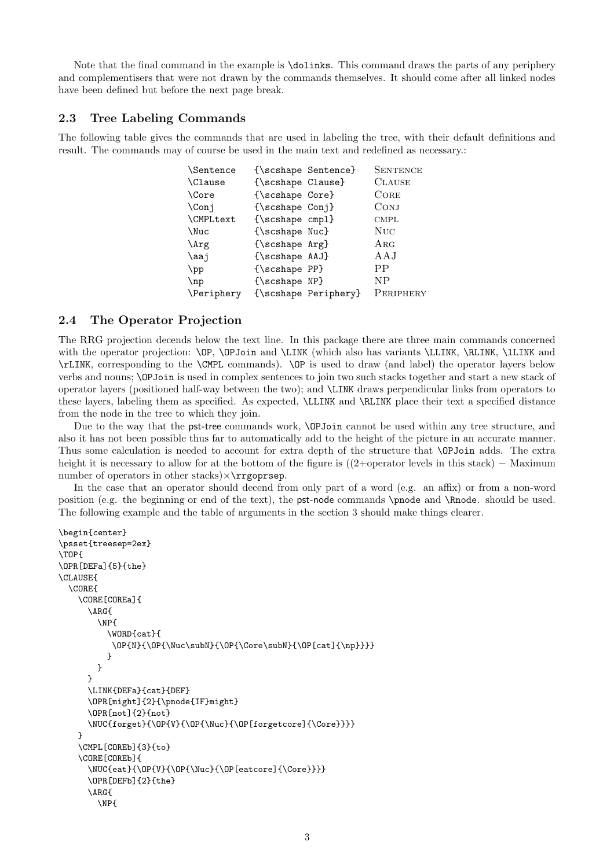Note that the final command in the example is \dolinks. This command draws the parts of any periphery and complementisers that were not drawn by the commands themselves. It should come after all linked nodes have been defined but before the next page break.

#### 2.3 Tree Labeling Commands

The following table gives the commands that are used in labeling the tree, with their default definitions and result. The commands may of course be used in the main text and redefined as necessary.:

| \Sentence        |                   | {\scshape Sentence}  | <b>SENTENCE</b> |
|------------------|-------------------|----------------------|-----------------|
| \Clause          | {\scshape Clause} |                      | <b>CLAUSE</b>   |
| \Core            | {\scshape Core}   |                      | CORE            |
| $\setminus$ Conj | {\scshape Conj}   |                      | CONJ            |
| \CMPLtext        | ${\simeq$ cmpl}   |                      | <b>CMPL</b>     |
| \Nuc             | {\scshape Nuc}    |                      | NUC             |
| \Arg             | {\scshape Arg}    |                      | ARG             |
| \aaj             | {\scshape AAJ}    |                      | AAJ             |
| $\mathcal{L}$    | {\scshape PP}     |                      | PP              |
| $\ln p$          | {\scshape NP}     |                      | NP              |
| Periphery        |                   | {\scshape Periphery} | PERIPHERY       |

### 2.4 The Operator Projection

The RRG projection decends below the text line. In this package there are three main commands concerned with the operator projection: \OP, \OPJoin and \LINK (which also has variants \LLINK, \RLINK, \1LINK and \rLINK, corresponding to the \CMPL commands). \OP is used to draw (and label) the operator layers below verbs and nouns; \OPJoin is used in complex sentences to join two such stacks together and start a new stack of operator layers (positioned half-way between the two); and \LINK draws perpendicular links from operators to these layers, labeling them as specified. As expected, \LLINK and \RLINK place their text a specified distance from the node in the tree to which they join.

Due to the way that the pst-tree commands work, \OPJoin cannot be used within any tree structure, and also it has not been possible thus far to automatically add to the height of the picture in an accurate manner. Thus some calculation is needed to account for extra depth of the structure that \OPJoin adds. The extra height it is necessary to allow for at the bottom of the figure is ((2+operator levels in this stack) − Maximum number of operators in other stacks) $\times$ \rrgoprsep.

In the case that an operator should decend from only part of a word (e.g. an affix) or from a non-word position (e.g. the beginning or end of the text), the pst-node commands \pnode and \Rnode. should be used. The following example and the table of arguments in the section 3 should make things clearer.

```
\begin{center}
\psset{treesep=2ex}
\TOP{
\OPR[DEFa]{5}{the}
\CLAUSE{
  \CORE{
    \CORE[COREa]{
      \ARG{
         \NP{
           \WORD{cat}{
            \label{thm:main} $$\OP{N}({\OP^{\nu\cup\ell}(\OP^{\nu\cap\ell}(\OP^{\nu\cap\ell})}$$}
        }
      }
      \LINK{DEFa}{cat}{DEF}
      \OPR[might]{2}{\pnode{IF}might}
      \OPR[not]{2}{not}
      \NUC{forget}{\OP{V}{\OP{\Nuc}{\OP[forgetcore]{\Core}}}}
    }
    \CMPL[COREb]{3}{to}
    \CORE[COREb]{
      \NUC{eat}{\OP{V}{\OP{\Nuc}{\OP[eatcore]{\Core}}}}
      \OPR[DEFb]{2}{the}
      \ARG{
        \NP{
```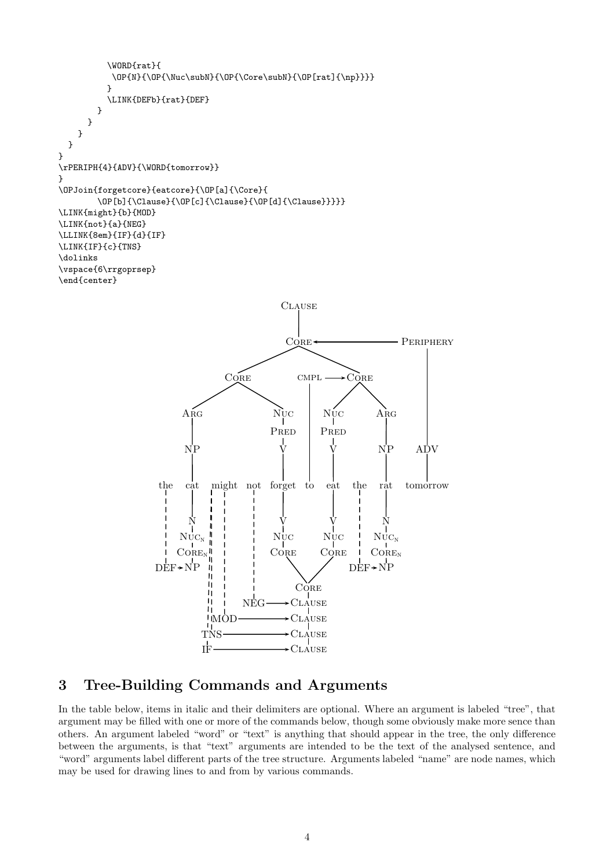```
\WORD{rat}{
            \label{thm:main} $$\OP{N}({\OP^{\N}({\OP^{\Core}\subN})}{\OP^{rat}_{\np}}}}}
            \LINK{DEFb}{rat}{DEF}
         }
      }
    }
  }
}
\rPERIPH{4}{ADV}{\WORD{tomorrow}}
}
\OPJoin{forgetcore}{eatcore}{\OP[a]{\Core}{
         \OP[b]{\Clause}{\OP[c]{\Clause}{\OP[d]{\Clause}}}}}
\LINK{might}{b}{MOD}
\LINK{not}{a}{NEG}
\LLINK{8em}{IF}{d}{IF}
\LINK{IF}{c}{TNS}
\dolinks
\vspace{6\rrgoprsep}
\end{center}
                                                      CLAUSE
                                                       CORE
                                                                                   PERIPHERY
                                        CORE
                                                                      CORE
                                                          \ensuremath{\mathrm{CMPL}}ARG
                                                    Nuc
                                                                Nuc
                                                                             \rm A_{RG}PRED
                                                               PRED
                                                                  V
                              NP
                                                                             NP
                                                                                      ADV
                                                      V
                                                   forget
                        the
                              cat
                                     might not
                                                           to
                                                                 eat
                                                                       the
                                                                             rat
                                                                                    tomorrow
                                                                        \overline{1}V
                                                                  V
                                                                               N
                               N
                             NUC_NNuc
                                                                Nuc
                                                                            NUC_NCORE
                            Coker<sub>n</sub>II.
                                                   CORE
                                                                            CORE_NDEF \rightarrow NPDF \rightarrow NPШ
                                    \mathbf{I}CORE
```
### 3 Tree-Building Commands and Arguments

MOD

IF TN

h H Τi

NEG

In the table below, items in italic and their delimiters are optional. Where an argument is labeled "tree", that argument may be filled with one or more of the commands below, though some obviously make more sence than others. An argument labeled "word" or "text" is anything that should appear in the tree, the only difference between the arguments, is that "text" arguments are intended to be the text of the analysed sentence, and "word" arguments label different parts of the tree structure. Arguments labeled "name" are node names, which may be used for drawing lines to and from by various commands.

**CLAUSE** Clause Clause **CLAUSE**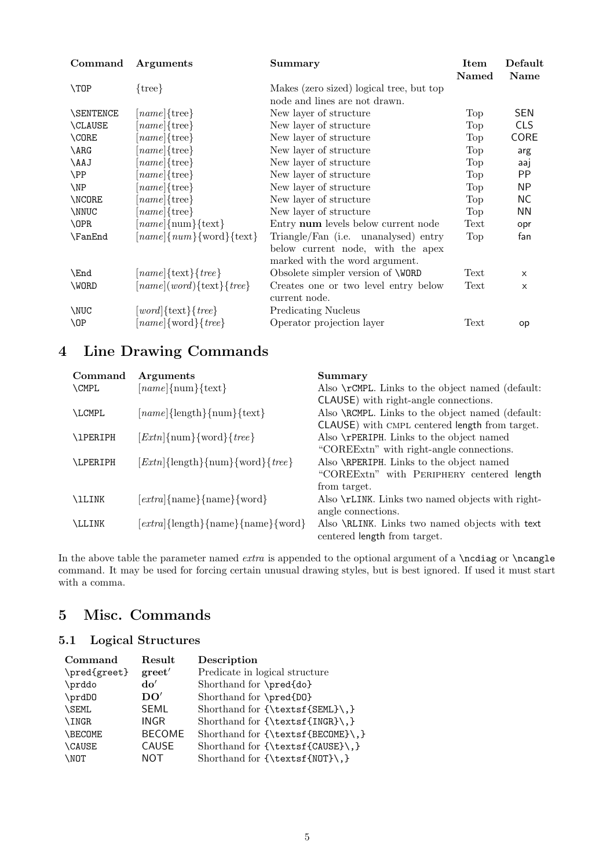| Command          | <b>Arguments</b>                  | Summary                                  | Item  | Default    |
|------------------|-----------------------------------|------------------------------------------|-------|------------|
|                  |                                   |                                          | Named | Name       |
| \TOP             | $\{tree\}$                        | Makes (zero sized) logical tree, but top |       |            |
|                  |                                   | node and lines are not drawn.            |       |            |
| <b>\SENTENCE</b> | $[name]{\text{tree}}$             | New layer of structure                   | Top   | <b>SEN</b> |
| <b>\CLAUSE</b>   | $[name]{\text{tree}}$             | New layer of structure                   | Top   | <b>CLS</b> |
| \CORE            | $[name]{\text{tree}}$             | New layer of structure                   | Top   | CORE       |
| \ARG             | $[name]{\text{tree}}$             | New layer of structure                   | Top   | arg        |
| \AAJ             | $[name]{\text{tree}}$             | New layer of structure                   | Top   | aaj        |
| \PP              | $[name]{tree}$                    | New layer of structure                   | Top   | PP         |
| $\N$             | $[name]{tree}$                    | New layer of structure                   | Top   | <b>NP</b>  |
| \NCORE           | $[name]{\text{tree}}$             | New layer of structure                   | Top   | NС         |
| \NNUC            | $[name]{\text{tree}}$             | New layer of structure                   | Top   | ΝN         |
| <b>\OPR</b>      | $[name]{\text{num}}$ {text}       | Entry num levels below current node      | Text  | opr        |
| \FanEnd          | $[name]{num}{\forall}$            | Triangle/Fan (i.e. unanalysed) entry     | Top   | fan        |
|                  |                                   | below current node, with the apex        |       |            |
|                  |                                   | marked with the word argument.           |       |            |
| \End             | $[name]{\text{text}}{tree}$       | Obsolete simpler version of <b>WORD</b>  | Text  | $\times$   |
| \WORD            | $[name](word){\text{text}}{tree}$ | Creates one or two level entry below     | Text  | X          |
|                  |                                   | current node.                            |       |            |
| \NUC             | $[word]{text}{true}$              | <b>Predicating Nucleus</b>               |       |            |
| $\Omega$         | $[name]$ {word}{ <i>tree</i> }    | Operator projection layer                | Text  | op         |
|                  |                                   |                                          |       |            |

# 4 Line Drawing Commands

| Command         | Arguments                                     | Summary                                          |
|-----------------|-----------------------------------------------|--------------------------------------------------|
| <b>\CMPL</b>    | $[name]{\text{num}}$                          | Also \rCMPL. Links to the object named (default: |
|                 |                                               | CLAUSE) with right-angle connections.            |
| <b>LCMPL</b>    | $[name]{length}{\text{num}}$                  | Also \RCMPL. Links to the object named (default: |
|                 |                                               | CLAUSE) with CMPL centered length from target.   |
| <b>\1PERIPH</b> | $[Extn]{\text{num}}$ {word}{ <i>tree</i> }    | Also \rPERIPH. Links to the object named         |
|                 |                                               | "COREExtn" with right-angle connections.         |
| <b>LPERIPH</b>  | $[Extn]{\text{length}}$ {num}{word}{ $tree$ } | Also \RPERIPH. Links to the object named         |
|                 |                                               | "COREExtn" with PERIPHERY centered length        |
|                 |                                               | from target.                                     |
| <b>\lLINK</b>   | $[extra]{name}{name}{\}$                      | Also \rLINK. Links two named objects with right- |
|                 |                                               | angle connections.                               |
| <b>\LLINK</b>   | $[extra]{length}{name}{name}{%$               | Also \RLINK. Links two named objects with text   |
|                 |                                               | centered length from target.                     |

In the above table the parameter named *extra* is appended to the optional argument of a  $\n{\n  $\nabla$   $\mathbf{a} \cdot \mathbf{b} = \nabla \cdot \mathbf{b}$$ command. It may be used for forcing certain unusual drawing styles, but is best ignored. If used it must start with a comma.

# 5 Misc. Commands

### 5.1 Logical Structures

| Command        | Result            | Description                       |
|----------------|-------------------|-----------------------------------|
| \pred{greet}   | $\mathrm{greet}'$ | Predicate in logical structure    |
| \prddo         | $d\mathbf{o}'$    | Shorthand for \pred{do}           |
| \prdD0         | DO'               | Shorthand for \pred{D0}           |
| <b>\SEML</b>   | <b>SEML</b>       | Shorthand for {\textsf{SEML}\,}   |
| \INGR          | <b>INGR</b>       | Shorthand for {\textsf{INGR}\,}   |
| <b>\BECOME</b> | <b>BECOME</b>     | Shorthand for {\textsf{BECOME}\,} |
| <b>\CAUSE</b>  | CAUSE             | Shorthand for ${\text{CAUSE}}\$ . |
| <b>NOT</b>     | NOT               | Shorthand for ${\text{NOT}},$ ,   |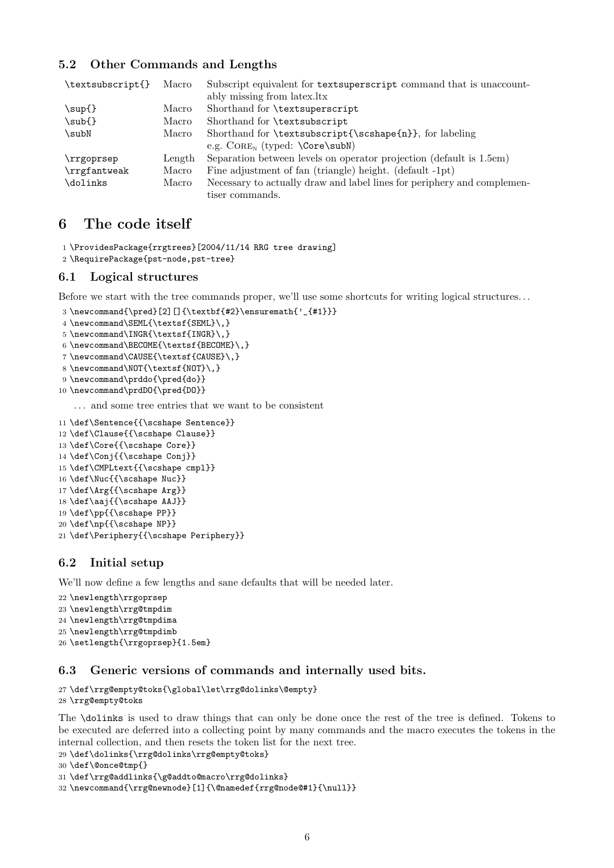### 5.2 Other Commands and Lengths

| \textsubscript{} | Macro  | Subscript equivalent for textsuperscript command that is unaccount-     |
|------------------|--------|-------------------------------------------------------------------------|
|                  |        | ably missing from latex.ltx                                             |
| $\sup\{\}$       | Macro  | Shorthand for \textsuperscript                                          |
| \sub{}           | Macro  | Shorthand for \textsubscript                                            |
| subN             | Macro  | Shorthand for \textsubscript{\scshape{n}}, for labeling                 |
|                  |        | e.g. $\text{CORE}_N$ (typed: $\text{Core\substack{subN}}$ )             |
| \rrgoprsep       | Length | Separation between levels on operator projection (default is 1.5em)     |
| \rrgfantweak     | Macro  | Fine adjustment of fan (triangle) height. (default -1pt)                |
| \dolinks         | Macro  | Necessary to actually draw and label lines for periphery and complemen- |
|                  |        | tiser commands.                                                         |

### 6 The code itself

1 \ProvidesPackage{rrgtrees}[2004/11/14 RRG tree drawing]

2 \RequirePackage{pst-node,pst-tree}

#### 6.1 Logical structures

Before we start with the tree commands proper, we'll use some shortcuts for writing logical structures. . .

```
3 \newcommand{\pred}[2][]{\textbf{#2}\ensuremath{'_{#1}}}
```

```
4 \newcommand\SEML{\textsf{SEML}\,}
```

```
5 \newcommand\INGR{\textsf{INGR}\,}
```
- 6 \newcommand\BECOME{\textsf{BECOME}\,}
- 7 \newcommand\CAUSE{\textsf{CAUSE}\,}
- 8 \newcommand\NOT{\textsf{NOT}\,}
- 9 \newcommand\prddo{\pred{do}}
- 10 \newcommand\prdDO{\pred{DO}}

. . . and some tree entries that we want to be consistent

```
11 \def\Sentence{{\scshape Sentence}}
```
- 12 \def\Clause{{\scshape Clause}}
- 13 \def\Core{{\scshape Core}}
- 14 \def\Conj{{\scshape Conj}}
- 15 \def\CMPLtext{{\scshape cmpl}}
- 16 \def\Nuc{{\scshape Nuc}}
- 17 \def\Arg{{\scshape Arg}}
- 18 \def\aaj{{\scshape AAJ}}
- 19 \def\pp{{\scshape PP}}
- 20 \def\np{{\scshape NP}}

```
21 \def\Periphery{{\scshape Periphery}}
```
### 6.2 Initial setup

We'll now define a few lengths and sane defaults that will be needed later.

```
22 \newlength\rrgoprsep
23 \newlength\rrg@tmpdim
24 \newlength\rrg@tmpdima
25 \newlength\rrg@tmpdimb
26 \setlength{\rrgoprsep}{1.5em}
```
### 6.3 Generic versions of commands and internally used bits.

```
27 \def\rrg@empty@toks{\global\let\rrg@dolinks\@empty}
28 \rrg@empty@toks
```
The \dolinks is used to draw things that can only be done once the rest of the tree is defined. Tokens to be executed are deferred into a collecting point by many commands and the macro executes the tokens in the internal collection, and then resets the token list for the next tree.

29 \def\dolinks{\rrg@dolinks\rrg@empty@toks}

```
30 \def\@once@tmp{}
```
31 \def\rrg@addlinks{\g@addto@macro\rrg@dolinks}

```
32 \newcommand{\rrg@newnode}[1]{\@namedef{rrg@node@#1}{\null}}
```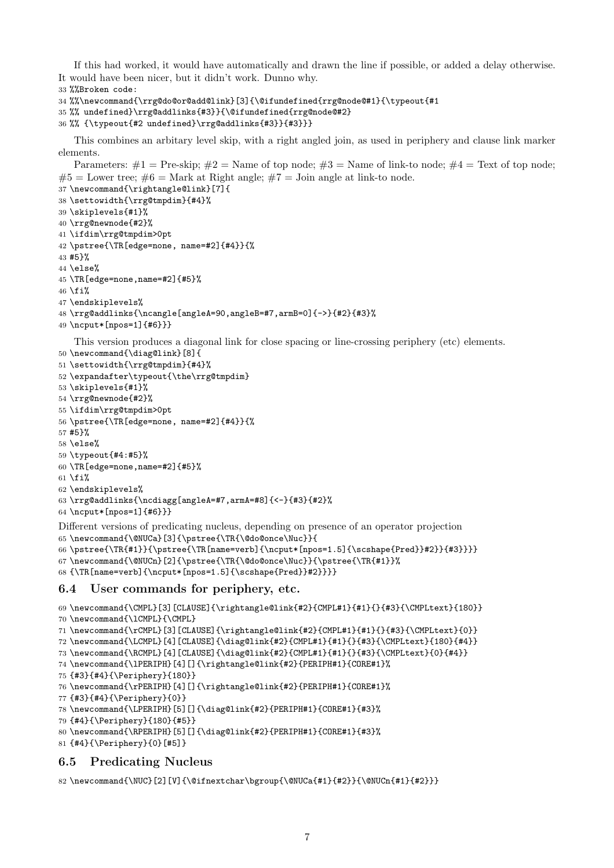If this had worked, it would have automatically and drawn the line if possible, or added a delay otherwise. It would have been nicer, but it didn't work. Dunno why.

```
33 %%Broken code:
```

```
34 %%\newcommand{\rrg@do@or@add@link}[3]{\@ifundefined{rrg@node@#1}{\typeout{#1
```

```
35 %% undefined}\rrg@addlinks{#3}}{\@ifundefined{rrg@node@#2}
```
%% {\typeout{#2 undefined}\rrg@addlinks{#3}}{#3}}}

This combines an arbitary level skip, with a right angled join, as used in periphery and clause link marker elements.

Parameters:  $\#1 =$  Pre-skip;  $\#2 =$  Name of top node;  $\#3 =$  Name of link-to node;  $\#4 =$  Text of top node;  $#5 =$  Lower tree;  $#6 =$  Mark at Right angle;  $#7 =$  Join angle at link-to node.

```
37 \newcommand{\rightangle@link}[7]{
38 \settowidth{\rrg@tmpdim}{#4}%
39 \skiplevels{#1}%
40 \rrg@newnode{#2}%
41 \ifdim\rrg@tmpdim>0pt
42 \pstree{\TR[edge=none, name=#2]{#4}}{%
43 #5}%
44 \else%
45 \TR[edge=none,name=#2]{#5}%
46 \fi%
47 \endskiplevels%
48 \rrg@addlinks{\ncangle[angleA=90,angleB=#7,armB=0]{->}{#2}{#3}%
49 \ncput*[npos=1]{#6}}}
   This version produces a diagonal link for close spacing or line-crossing periphery (etc) elements.
50 \newcommand{\diag@link}[8]{
51 \settowidth{\rrg@tmpdim}{#4}%
52 \expandafter\typeout{\the\rrg@tmpdim}
53 \skiplevels{#1}%
54 \rrg@newnode{#2}%
55 \ifdim\rrg@tmpdim>0pt
56 \pstree{\TR[edge=none, name=#2]{#4}}{%
57 #5}%
58 \else%
59 \typeout{#4:#5}%
60 \TR[edge=none,name=#2]{#5}%
61 \fi%
62 \endskiplevels%
63 \rrg@addlinks{\ncdiagg[angleA=#7,armA=#8]{<-}{#3}{#2}%
64 \ncput*[npos=1]{#6}}}
Different versions of predicating nucleus, depending on presence of an operator projection
65 \newcommand{\@NUCa}[3]{\pstree{\TR{\@do@once\Nuc}}{
66 \pstree{\TR{#1}}{\pstree{\TR[name=verb]{\ncput*[npos=1.5]{\scshape{Pred}}#2}}{#3}}}}
67 \newcommand{\@NUCn}[2]{\pstree{\TR{\@do@once\Nuc}}{\pstree{\TR{#1}}%
68 {\TR[name=verb]{\ncput*[npos=1.5]{\scshape{Pred}}#2}}}}
6.4 User commands for periphery, etc.
69 \newcommand{\CMPL}[3][CLAUSE]{\rightangle@link{#2}{CMPL#1}{#1}{}{#3}{\CMPLtext}{180}}
```

```
70 \newcommand{\lCMPL}{\CMPL}
```

```
71 \newcommand{\rCMPL}[3][CLAUSE]{\rightangle@link{#2}{CMPL#1}{#1}{}{#3}{\CMPLtext}{0}}
```
\newcommand{\LCMPL}[4][CLAUSE]{\diag@link{#2}{CMPL#1}{#1}{}{#3}{\CMPLtext}{180}{#4}}

```
73 \newcommand{\RCMPL}[4][CLAUSE]{\diag@link{#2}{CMPL#1}{#1}{}{#3}{\CMPLtext}{0}{#4}}
```

```
74 \newcommand{\lPERIPH}[4][]{\rightangle@link{#2}{PERIPH#1}{CORE#1}%
```

```
75 {#3}{#4}{\Periphery}{180}}
```
\newcommand{\rPERIPH}[4][]{\rightangle@link{#2}{PERIPH#1}{CORE#1}%

```
77 {#3}{#4}{\Periphery}{0}}
```

```
78 \newcommand{\LPERIPH}[5][]{\diag@link{#2}{PERIPH#1}{CORE#1}{#3}%
```
{#4}{\Periphery}{180}{#5}}

```
80 \newcommand{\RPERIPH}[5][]{\diag@link{#2}{PERIPH#1}{CORE#1}{#3}%
```

```
81 {#4}{\Periphery}{0}[#5]}
```
### 6.5 Predicating Nucleus

```
82 \newcommand{\NUC}[2][V]{\@ifnextchar\bgroup{\@NUCa{#1}{#2}}{\@NUCn{#1}{#2}}}
```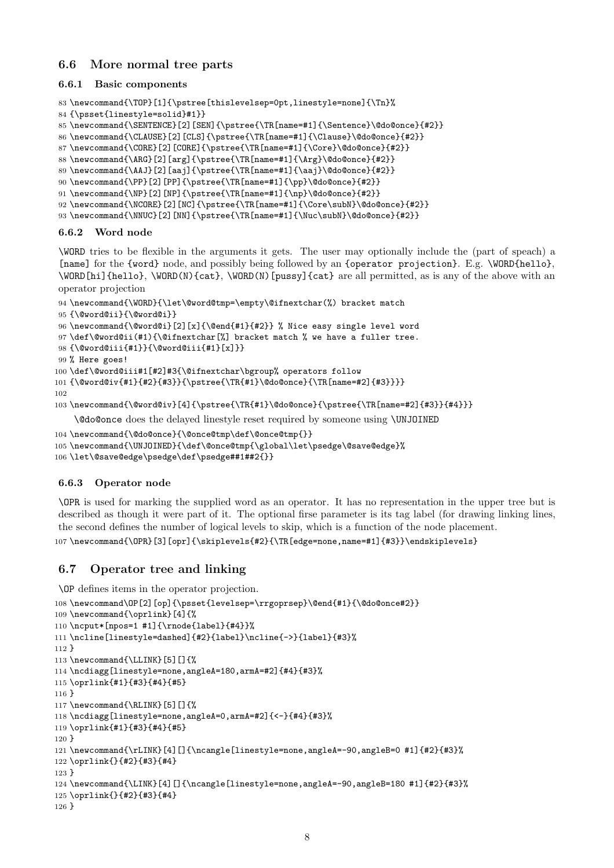### 6.6 More normal tree parts

#### 6.6.1 Basic components

```
83 \newcommand{\TOP}[1]{\pstree[thislevelsep=0pt,linestyle=none]{\Tn}%
84 {\psset{linestyle=solid}#1}}
```
\newcommand{\SENTENCE}[2][SEN]{\pstree{\TR[name=#1]{\Sentence}\@do@once}{#2}}

\newcommand{\CLAUSE}[2][CLS]{\pstree{\TR[name=#1]{\Clause}\@do@once}{#2}}

\newcommand{\CORE}[2][CORE]{\pstree{\TR[name=#1]{\Core}\@do@once}{#2}}

```
88 \newcommand{\ARG}[2][arg]{\pstree{\TR[name=#1]{\Arg}\@do@once}{#2}}
```
\newcommand{\AAJ}[2][aaj]{\pstree{\TR[name=#1]{\aaj}\@do@once}{#2}}

```
90 \newcommand{\PP}[2][PP]{\pstree{\TR[name=#1]{\pp}\@do@once}{#2}}
```

```
91 \newcommand{\NP}[2][NP]{\pstree{\TR[name=#1]{\np}\@do@once}{#2}}
```

```
92 \newcommand{\NCORE}[2][NC]{\pstree{\TR[name=#1]{\Core\subN}\@do@once}{#2}}
```
\newcommand{\NNUC}[2][NN]{\pstree{\TR[name=#1]{\Nuc\subN}\@do@once}{#2}}

#### 6.6.2 Word node

\WORD tries to be flexible in the arguments it gets. The user may optionally include the (part of speach) a [name] for the {word} node, and possibly being followed by an {operator projection}. E.g. \WORD{hello}, \WORD[hi]{hello}, \WORD(N){cat}, \WORD(N)[pussy]{cat} are all permitted, as is any of the above with an operator projection

```
94 \newcommand{\WORD}{\let\@word@tmp=\empty\@ifnextchar(%) bracket match
95 {\@word@ii}{\@word@i}}
96 \newcommand{\@word@i}[2][x]{\@end{#1}{#2}} % Nice easy single level word
97 \def\@word@ii(#1){\@ifnextchar[%] bracket match % we have a fuller tree.
98 {\@word@iii{#1}}{\@word@iii{#1}[x]}}
99 % Here goes!
100 \def\@word@iii#1[#2]#3{\@ifnextchar\bgroup% operators follow
101 {\@word@iv{#1}{#2}{#3}}{\pstree{\TR{#1}\@do@once}{\TR[name=#2]{#3}}}}
102
103 \newcommand{\@word@iv}[4]{\pstree{\TR{#1}\@do@once}{\pstree{\TR[name=#2]{#3}}{#4}}}
    \@do@once does the delayed linestyle reset required by someone using \UNJOINED
```

```
104 \newcommand{\@do@once}{\@once@tmp\def\@once@tmp{}}
```
\newcommand{\UNJOINED}{\def\@once@tmp{\global\let\psedge\@save@edge}%

```
106 \let\@save@edge\psedge\def\psedge##1##2{}}
```
#### 6.6.3 Operator node

\OPR is used for marking the supplied word as an operator. It has no representation in the upper tree but is described as though it were part of it. The optional firse parameter is its tag label (for drawing linking lines, the second defines the number of logical levels to skip, which is a function of the node placement.

107\newcommand{\OPR}[3][opr]{\skiplevels{#2}{\TR[edge=none,name=#1]{#3}}\endskiplevels}

### 6.7 Operator tree and linking

\OP defines items in the operator projection.

```
108 \newcommand\OP[2][op]{\psset{levelsep=\rrgoprsep}\@end{#1}{\@do@once#2}}
109 \newcommand{\oprlink}[4]{%
110 \ncput*[npos=1 #1]{\rnode{label}{#4}}%
111 \ncline[linestyle=dashed]{#2}{label}\ncline{->}{label}{#3}%
112 }
113 \newcommand{\LLINK}[5][]{%
114 \ncdiagg[linestyle=none,angleA=180,armA=#2]{#4}{#3}%
115 \oprlink{#1}{#3}{#4}{#5}
116 }
117 \newcommand{\RLINK}[5][]{%
118 \ncdiagg[linestyle=none,angleA=0,armA=#2]{<-}{#4}{#3}%
119 \oprlink{#1}{#3}{#4}{#5}
120 }
121 \newcommand{\rLINK}[4][]{\ncangle[linestyle=none,angleA=-90,angleB=0 #1]{#2}{#3}%
122 \oprlink{}{#2}{#3}{#4}
123 }
124 \newcommand{\LINK}[4][]{\ncangle[linestyle=none,angleA=-90,angleB=180 #1]{#2}{#3}%
125 \oprlink{}{#2}{#3}{#4}
126 }
```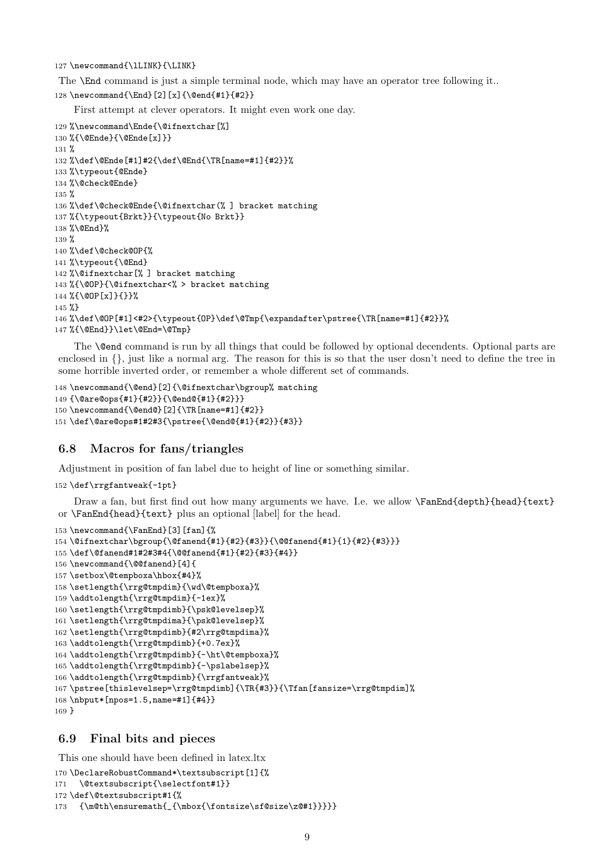127 \newcommand{\lLINK}{\LINK}

The **\End** command is just a simple terminal node, which may have an operator tree following it.. \newcommand{\End}[2][x]{\@end{#1}{#2}}

First attempt at clever operators. It might even work one day.

```
129 %\newcommand\Ende{\@ifnextchar[%]
130 %{\@Ende}{\@Ende[x]}}
131 %
132 %\def\@Ende[#1]#2{\def\@End{\TR[name=#1]{#2}}%
133 %\typeout{@Ende}
134 %\@check@Ende}
135 %
136 %\def\@check@Ende{\@ifnextchar(% ] bracket matching
137 %{\typeout{Brkt}}{\typeout{No Brkt}}
138 %\@End}%
139 %
140 %\def\@check@OP{%
141 %\typeout{\@End}
142 %\@ifnextchar[% ] bracket matching
143 %{\@OP}{\@ifnextchar<% > bracket matching
144 %{\@OP[x]}{}}%
145 %}
146 %\def\@OP[#1]<#2>{\typeout{OP}\def\@Tmp{\expandafter\pstree{\TR[name=#1]{#2}}%
147 %{\@End}}\let\@End=\@Tmp}
```
The \@end command is run by all things that could be followed by optional decendents. Optional parts are enclosed in  $\{\}$ , just like a normal arg. The reason for this is so that the user dosn't need to define the tree in some horrible inverted order, or remember a whole different set of commands.

```
148 \newcommand{\@end}[2]{\@ifnextchar\bgroup% matching
149 {\@are@ops{#1}{#2}}{\@end@{#1}{#2}}}
150 \newcommand{\@end@}[2]{\TR[name=#1]{#2}}
151 \def\@are@ops#1#2#3{\pstree{\@end@{#1}{#2}}{#3}}
```
#### 6.8 Macros for fans/triangles

Adjustment in position of fan label due to height of line or something similar.

```
152 \def\rrgfantweak{-1pt}
```
Draw a fan, but first find out how many arguments we have. I.e. we allow \FanEnd{depth}{head}{text} or \FanEnd{head}{text} plus an optional [label] for the head.

```
153 \newcommand{\FanEnd}[3][fan]{%
154 \@ifnextchar\bgroup{\@fanend{#1}{#2}{#3}}{\@@fanend{#1}{1}{#2}{#3}}}
155 \def\@fanend#1#2#3#4{\@@fanend{#1}{#2}{#3}{#4}}
156 \newcommand{\@@fanend}[4]{
157 \setbox\@tempboxa\hbox{#4}%
158 \setlength{\rrg@tmpdim}{\wd\@tempboxa}%
159 \addtolength{\rrg@tmpdim}{-1ex}%
160 \setlength{\rrg@tmpdimb}{\psk@levelsep}%
161 \setlength{\rrg@tmpdima}{\psk@levelsep}%
162 \setlength{\rrg@tmpdimb}{#2\rrg@tmpdima}%
163 \addtolength{\rrg@tmpdimb}{+0.7ex}%
164 \addtolength{\rrg@tmpdimb}{-\ht\@tempboxa}%
165 \addtolength{\rrg@tmpdimb}{-\pslabelsep}%
166 \addtolength{\rrg@tmpdimb}{\rrgfantweak}%
167 \pstree[thislevelsep=\rrg@tmpdimb]{\TR{#3}}{\Tfan[fansize=\rrg@tmpdim]%
168 \nbput*[npos=1.5,name=#1]{#4}}
169 }
```
#### 6.9 Final bits and pieces

This one should have been defined in latex.ltx

```
170 \DeclareRobustCommand*\textsubscript[1]{%
```

```
171 \@textsubscript{\selectfont#1}}
```

```
172 \def\@textsubscript#1{%
```

```
173 {\m@th\ensuremath{_{\mbox{\fontsize\sf@size\z@#1}}}}}
```